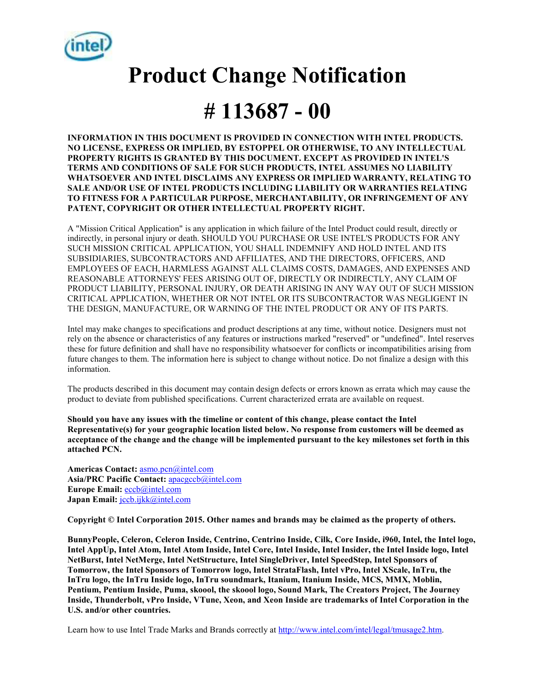

# **Product Change Notification**

## **# 113687 - 00**

**INFORMATION IN THIS DOCUMENT IS PROVIDED IN CONNECTION WITH INTEL PRODUCTS. NO LICENSE, EXPRESS OR IMPLIED, BY ESTOPPEL OR OTHERWISE, TO ANY INTELLECTUAL PROPERTY RIGHTS IS GRANTED BY THIS DOCUMENT. EXCEPT AS PROVIDED IN INTEL'S TERMS AND CONDITIONS OF SALE FOR SUCH PRODUCTS, INTEL ASSUMES NO LIABILITY WHATSOEVER AND INTEL DISCLAIMS ANY EXPRESS OR IMPLIED WARRANTY, RELATING TO SALE AND/OR USE OF INTEL PRODUCTS INCLUDING LIABILITY OR WARRANTIES RELATING TO FITNESS FOR A PARTICULAR PURPOSE, MERCHANTABILITY, OR INFRINGEMENT OF ANY PATENT, COPYRIGHT OR OTHER INTELLECTUAL PROPERTY RIGHT.** 

A "Mission Critical Application" is any application in which failure of the Intel Product could result, directly or indirectly, in personal injury or death. SHOULD YOU PURCHASE OR USE INTEL'S PRODUCTS FOR ANY SUCH MISSION CRITICAL APPLICATION, YOU SHALL INDEMNIFY AND HOLD INTEL AND ITS SUBSIDIARIES, SUBCONTRACTORS AND AFFILIATES, AND THE DIRECTORS, OFFICERS, AND EMPLOYEES OF EACH, HARMLESS AGAINST ALL CLAIMS COSTS, DAMAGES, AND EXPENSES AND REASONABLE ATTORNEYS' FEES ARISING OUT OF, DIRECTLY OR INDIRECTLY, ANY CLAIM OF PRODUCT LIABILITY, PERSONAL INJURY, OR DEATH ARISING IN ANY WAY OUT OF SUCH MISSION CRITICAL APPLICATION, WHETHER OR NOT INTEL OR ITS SUBCONTRACTOR WAS NEGLIGENT IN THE DESIGN, MANUFACTURE, OR WARNING OF THE INTEL PRODUCT OR ANY OF ITS PARTS.

Intel may make changes to specifications and product descriptions at any time, without notice. Designers must not rely on the absence or characteristics of any features or instructions marked "reserved" or "undefined". Intel reserves these for future definition and shall have no responsibility whatsoever for conflicts or incompatibilities arising from future changes to them. The information here is subject to change without notice. Do not finalize a design with this information.

The products described in this document may contain design defects or errors known as errata which may cause the product to deviate from published specifications. Current characterized errata are available on request.

**Should you have any issues with the timeline or content of this change, please contact the Intel Representative(s) for your geographic location listed below. No response from customers will be deemed as acceptance of the change and the change will be implemented pursuant to the key milestones set forth in this attached PCN.** 

**Americas Contact:** asmo.pcn@intel.com **Asia/PRC Pacific Contact:** apacgccb@intel.com Europe Email: **eccb**@intel.com **Japan Email:** jccb.ijkk@intel.com

**Copyright © Intel Corporation 2015. Other names and brands may be claimed as the property of others.**

**BunnyPeople, Celeron, Celeron Inside, Centrino, Centrino Inside, Cilk, Core Inside, i960, Intel, the Intel logo, Intel AppUp, Intel Atom, Intel Atom Inside, Intel Core, Intel Inside, Intel Insider, the Intel Inside logo, Intel NetBurst, Intel NetMerge, Intel NetStructure, Intel SingleDriver, Intel SpeedStep, Intel Sponsors of Tomorrow, the Intel Sponsors of Tomorrow logo, Intel StrataFlash, Intel vPro, Intel XScale, InTru, the InTru logo, the InTru Inside logo, InTru soundmark, Itanium, Itanium Inside, MCS, MMX, Moblin, Pentium, Pentium Inside, Puma, skoool, the skoool logo, Sound Mark, The Creators Project, The Journey Inside, Thunderbolt, vPro Inside, VTune, Xeon, and Xeon Inside are trademarks of Intel Corporation in the U.S. and/or other countries.** 

Learn how to use Intel Trade Marks and Brands correctly at http://www.intel.com/intel/legal/tmusage2.htm.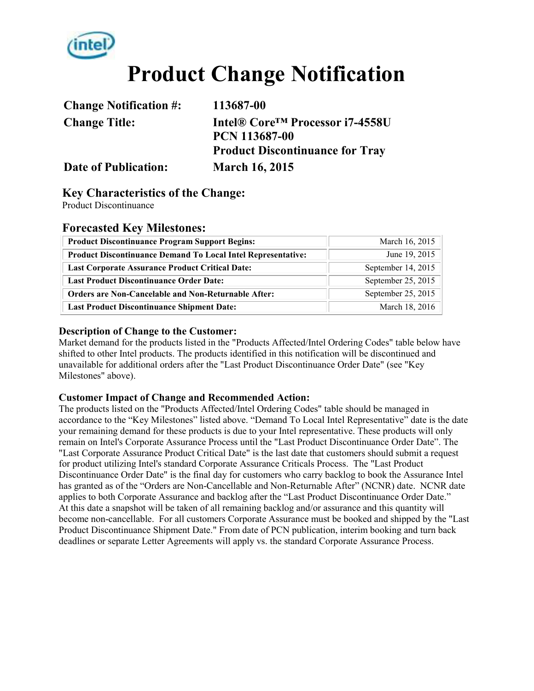

## **Product Change Notification**

| <b>Change Notification #:</b> | 113687-00                                   |  |
|-------------------------------|---------------------------------------------|--|
| <b>Change Title:</b>          | Intel® Core <sup>™</sup> Processor i7-4558U |  |
|                               | <b>PCN 113687-00</b>                        |  |
|                               | <b>Product Discontinuance for Tray</b>      |  |
| <b>Date of Publication:</b>   | <b>March 16, 2015</b>                       |  |

#### **Key Characteristics of the Change:**

Product Discontinuance

#### **Forecasted Key Milestones:**

| <b>Product Discontinuance Program Support Begins:</b>               | March 16, 2015     |  |  |
|---------------------------------------------------------------------|--------------------|--|--|
| <b>Product Discontinuance Demand To Local Intel Representative:</b> | June 19, 2015      |  |  |
| <b>Last Corporate Assurance Product Critical Date:</b>              | September 14, 2015 |  |  |
| <b>Last Product Discontinuance Order Date:</b>                      | September 25, 2015 |  |  |
| <b>Orders are Non-Cancelable and Non-Returnable After:</b>          | September 25, 2015 |  |  |
| <b>Last Product Discontinuance Shipment Date:</b>                   | March 18, 2016     |  |  |

#### **Description of Change to the Customer:**

Market demand for the products listed in the "Products Affected/Intel Ordering Codes" table below have shifted to other Intel products. The products identified in this notification will be discontinued and unavailable for additional orders after the "Last Product Discontinuance Order Date" (see "Key Milestones" above).

#### **Customer Impact of Change and Recommended Action:**

The products listed on the "Products Affected/Intel Ordering Codes" table should be managed in accordance to the "Key Milestones" listed above. "Demand To Local Intel Representative" date is the date your remaining demand for these products is due to your Intel representative. These products will only remain on Intel's Corporate Assurance Process until the "Last Product Discontinuance Order Date". The "Last Corporate Assurance Product Critical Date" is the last date that customers should submit a request for product utilizing Intel's standard Corporate Assurance Criticals Process. The "Last Product Discontinuance Order Date" is the final day for customers who carry backlog to book the Assurance Intel has granted as of the "Orders are Non-Cancellable and Non-Returnable After" (NCNR) date. NCNR date applies to both Corporate Assurance and backlog after the "Last Product Discontinuance Order Date." At this date a snapshot will be taken of all remaining backlog and/or assurance and this quantity will become non-cancellable. For all customers Corporate Assurance must be booked and shipped by the "Last Product Discontinuance Shipment Date." From date of PCN publication, interim booking and turn back deadlines or separate Letter Agreements will apply vs. the standard Corporate Assurance Process.